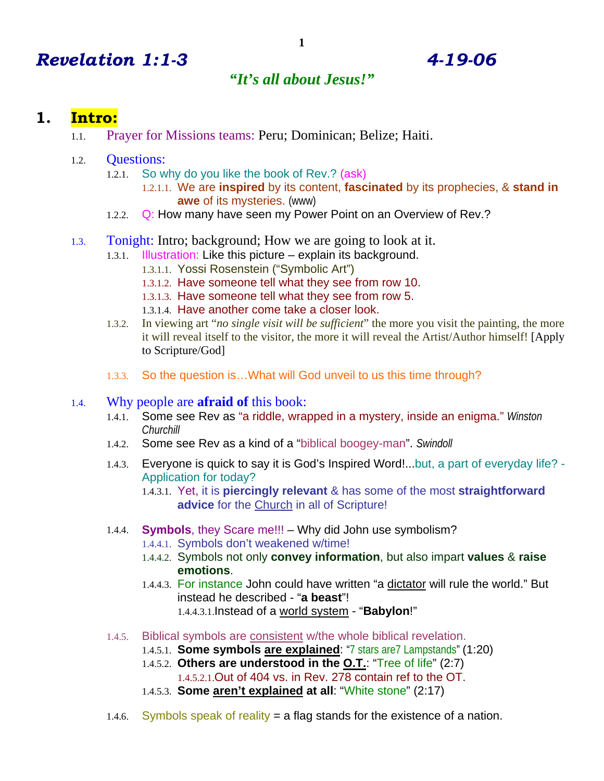# *Revelation 1:1-3 4-19-06*

## *"It's all about Jesus!"*

### **1. Intro:**

- 1.1. Prayer for Missions teams: Peru; Dominican; Belize; Haiti.
- 1.2. Questions:
	- 1.2.1. So why do you like the book of Rev.? (ask)
		- 1.2.1.1. We are **inspired** by its content, **fascinated** by its prophecies, & **stand in awe** of its mysteries. (www)
	- 1.2.2. Q: How many have seen my Power Point on an Overview of Rev.?
- 1.3. Tonight: Intro; background; How we are going to look at it.
	- 1.3.1. Illustration: Like this picture explain its background.
		- 1.3.1.1. Yossi Rosenstein ("Symbolic Art")
		- 1.3.1.2. Have someone tell what they see from row 10.
		- 1.3.1.3. Have someone tell what they see from row 5.
		- 1.3.1.4. Have another come take a closer look.
	- 1.3.2. In viewing art "*no single visit will be sufficient*" the more you visit the painting, the more it will reveal itself to the visitor, the more it will reveal the Artist/Author himself! [Apply to Scripture/God]
	- 1.3.3. So the question is…What will God unveil to us this time through?

#### 1.4. Why people are **afraid of** this book:

- 1.4.1. Some see Rev as "a riddle, wrapped in a mystery, inside an enigma." *Winston Churchill*
- 1.4.2. Some see Rev as a kind of a "biblical boogey-man". *Swindoll*
- 1.4.3. Everyone is quick to say it is God's Inspired Word!...but, a part of everyday life? Application for today?
	- 1.4.3.1. Yet, it is **piercingly relevant** & has some of the most **straightforward advice** for the Church in all of Scripture!
- 1.4.4. **Symbols**, they Scare me!!! Why did John use symbolism?
	- 1.4.4.1. Symbols don't weakened w/time!
	- 1.4.4.2. Symbols not only **convey information**, but also impart **values** & **raise emotions**.
	- 1.4.4.3. For instance John could have written "a dictator will rule the world." But instead he described - "**a beast**"! 1.4.4.3.1.Instead of a world system - "**Babylon**!"
- 1.4.5. Biblical symbols are consistent w/the whole biblical revelation.
	- 1.4.5.1. **Some symbols are explained**: "7 stars are7 Lampstands" (1:20)
	- 1.4.5.2. **Others are understood in the O.T.**: "Tree of life" (2:7)
		- 1.4.5.2.1.Out of 404 vs. in Rev. 278 contain ref to the OT.
	- 1.4.5.3. **Some aren't explained at all**: "White stone" (2:17)
- 1.4.6. Symbols speak of reality = a flag stands for the existence of a nation.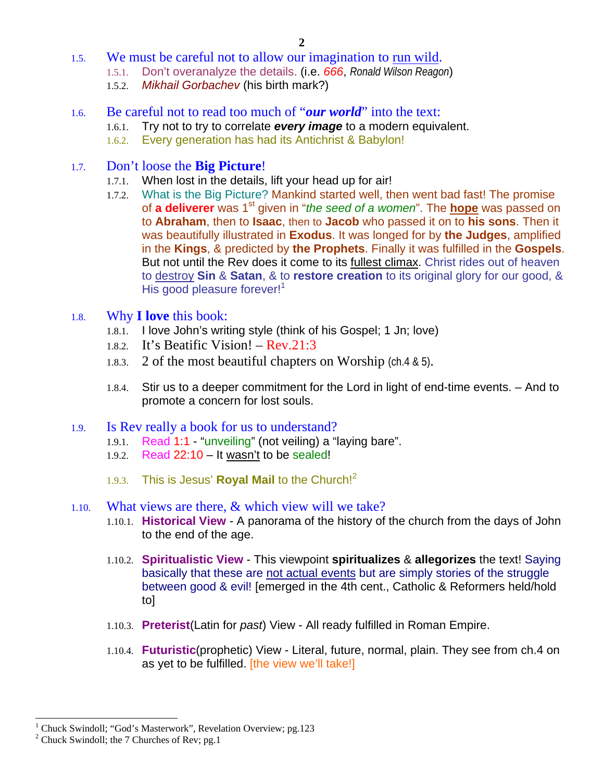- 1.5. We must be careful not to allow our imagination to run wild.
	- 1.5.1. Don't overanalyze the details. (i.e. *666*, *Ronald Wilson Reagon*)
	- 1.5.2. *Mikhail Gorbachev* (his birth mark?)
- 1.6. Be careful not to read too much of "*our world*" into the text:
	- 1.6.1. Try not to try to correlate *every image* to a modern equivalent.
	- 1.6.2. Every generation has had its Antichrist & Babylon!
- 1.7. Don't loose the **Big Picture**!
	- 1.7.1. When lost in the details, lift your head up for air!
	- 1.7.2. What is the Big Picture? Mankind started well, then went bad fast! The promise of **a deliverer** was 1st given in "*the seed of a women*". The **hope** was passed on to **Abraham**, then to **Isaac**, then to **Jacob** who passed it on to **his sons**. Then it was beautifully illustrated in **Exodus**. It was longed for by **the Judges**, amplified in the **Kings**, & predicted by **the Prophets**. Finally it was fulfilled in the **Gospels**. But not until the Rev does it come to its fullest climax. Christ rides out of heaven to destroy **Sin** & **Satan**, & to **restore creation** to its original glory for our good, & His good pleasure forever!<sup>1</sup>

#### 1.8. Why **I love** this book:

- 1.8.1. I love John's writing style (think of his Gospel; 1 Jn; love)
- 1.8.2. It's Beatific Vision! Rev.21:3
- 1.8.3. 2 of the most beautiful chapters on Worship (ch.4 & 5).
- 1.8.4. Stir us to a deeper commitment for the Lord in light of end-time events. And to promote a concern for lost souls.

#### 1.9. Is Rev really a book for us to understand?

- 1.9.1. Read 1:1 "unveiling" (not veiling) a "laying bare".
- 1.9.2. Read 22:10 It wasn't to be sealed!
- 1.9.3. This is Jesus' **Royal Mail** to the Church!<sup>2</sup>

#### 1.10. What views are there, & which view will we take?

- 1.10.1. **Historical View** A panorama of the history of the church from the days of John to the end of the age.
- 1.10.2. **Spiritualistic View** This viewpoint **spiritualizes** & **allegorizes** the text! Saying basically that these are not actual events but are simply stories of the struggle between good & evil! [emerged in the 4th cent., Catholic & Reformers held/hold to]
- 1.10.3. **Preterist**(Latin for *past*) View All ready fulfilled in Roman Empire.
- 1.10.4. **Futuristic**(prophetic) View Literal, future, normal, plain. They see from ch.4 on as yet to be fulfilled. [the view we'll take!]

 $\overline{a}$ 

<sup>1</sup> Chuck Swindoll; "God's Masterwork", Revelation Overview; pg.123 2

 $2$  Chuck Swindoll; the 7 Churches of Rev; pg.1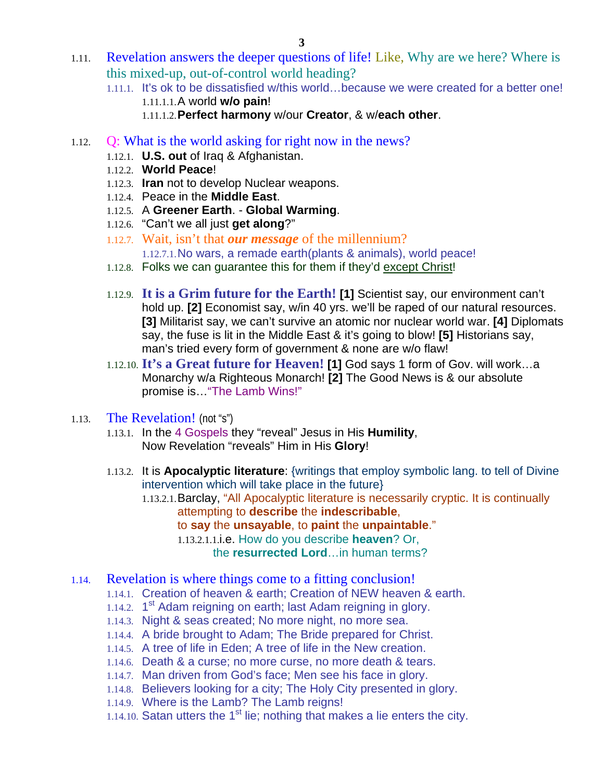- 1.11. Revelation answers the deeper questions of life! Like, Why are we here? Where is this mixed-up, out-of-control world heading?
	- 1.11.1. It's ok to be dissatisfied w/this world…because we were created for a better one! 1.11.1.1.A world **w/o pain**!
		- 1.11.1.2.**Perfect harmony** w/our **Creator**, & w/**each other**.
- 1.12. Q: What is the world asking for right now in the news?
	- 1.12.1. **U.S. out** of Iraq & Afghanistan.
	- 1.12.2. **World Peace**!
	- 1.12.3. **Iran** not to develop Nuclear weapons.
	- 1.12.4. Peace in the **Middle East**.
	- 1.12.5. A **Greener Earth**. **Global Warming**.
	- 1.12.6. "Can't we all just **get along**?"
	- 1.12.7. Wait, isn't that *our message* of the millennium? 1.12.7.1.No wars, a remade earth(plants & animals), world peace!
	- 1.12.8. Folks we can guarantee this for them if they'd except Christ!
	- 1.12.9. **It is a Grim future for the Earth! [1]** Scientist say, our environment can't hold up. **[2]** Economist say, w/in 40 yrs. we'll be raped of our natural resources. **[3]** Militarist say, we can't survive an atomic nor nuclear world war. **[4]** Diplomats say, the fuse is lit in the Middle East & it's going to blow! **[5]** Historians say, man's tried every form of government & none are w/o flaw!
	- 1.12.10. **It's a Great future for Heaven! [1]** God says 1 form of Gov. will work…a Monarchy w/a Righteous Monarch! **[2]** The Good News is & our absolute promise is…"The Lamb Wins!"
- 1.13. The Revelation! (not "s")
	- 1.13.1. In the 4 Gospels they "reveal" Jesus in His **Humility**, Now Revelation "reveals" Him in His **Glory**!
	- 1.13.2. It is **Apocalyptic literature**: {writings that employ symbolic lang. to tell of Divine intervention which will take place in the future}
		- 1.13.2.1.Barclay, "All Apocalyptic literature is necessarily cryptic. It is continually attempting to **describe** the **indescribable**,
			- to **say** the **unsayable**, to **paint** the **unpaintable**."
			- 1.13.2.1.1.i.e. How do you describe **heaven**? Or,

the **resurrected Lord**…in human terms?

- 1.14. Revelation is where things come to a fitting conclusion!
	- 1.14.1. Creation of heaven & earth; Creation of NEW heaven & earth.
	- 1.14.2.  $1<sup>st</sup>$  Adam reigning on earth; last Adam reigning in glory.
	- 1.14.3. Night & seas created; No more night, no more sea.
	- 1.14.4. A bride brought to Adam; The Bride prepared for Christ.
	- 1.14.5. A tree of life in Eden; A tree of life in the New creation.
	- 1.14.6. Death & a curse; no more curse, no more death & tears.
	- 1.14.7. Man driven from God's face; Men see his face in glory.
	- 1.14.8. Believers looking for a city; The Holy City presented in glory.
	- 1.14.9. Where is the Lamb? The Lamb reigns!
	- 1.14.10. Satan utters the  $1<sup>st</sup>$  lie; nothing that makes a lie enters the city.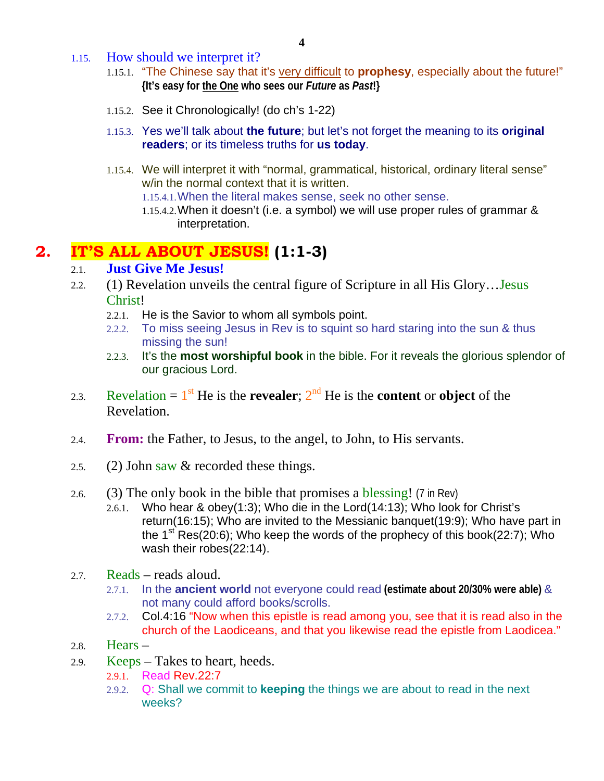- 1.15. How should we interpret it?
	- 1.15.1. "The Chinese say that it's very difficult to **prophesy**, especially about the future!" **{It's easy for the One who sees our** *Future* **as** *Past***!}**
	- 1.15.2. See it Chronologically! (do ch's 1-22)
	- 1.15.3. Yes we'll talk about **the future**; but let's not forget the meaning to its **original readers**; or its timeless truths for **us today**.
	- 1.15.4. We will interpret it with "normal, grammatical, historical, ordinary literal sense" w/in the normal context that it is written.
		- 1.15.4.1.When the literal makes sense, seek no other sense.
		- 1.15.4.2.When it doesn't (i.e. a symbol) we will use proper rules of grammar & interpretation.

# **2. IT'S ALL ABOUT JESUS! (1:1-3)**

#### 2.1. **Just Give Me Jesus!**

- 2.2. (1) Revelation unveils the central figure of Scripture in all His Glory…Jesus Christ!
	- 2.2.1. He is the Savior to whom all symbols point.
	- 2.2.2. To miss seeing Jesus in Rev is to squint so hard staring into the sun & thus missing the sun!
	- 2.2.3. It's the **most worshipful book** in the bible. For it reveals the glorious splendor of our gracious Lord.
- 2.3. Revelation =  $1^{st}$  He is the **revealer**;  $2^{nd}$  He is the **content** or **object** of the Revelation.
- 2.4. **From:** the Father, to Jesus, to the angel, to John, to His servants.
- 2.5. (2) John saw  $&$  recorded these things.
- 2.6. (3) The only book in the bible that promises a blessing! (7 in Rev)
	- 2.6.1. Who hear & obey(1:3); Who die in the Lord(14:13); Who look for Christ's return(16:15); Who are invited to the Messianic banquet(19:9); Who have part in the  $1^{st}$  Res(20:6); Who keep the words of the prophecy of this book(22:7); Who wash their robes(22:14).
- 2.7. Reads reads aloud.
	- 2.7.1. In the **ancient world** not everyone could read **(estimate about 20/30% were able)** & not many could afford books/scrolls.
	- 2.7.2. Col.4:16 "Now when this epistle is read among you, see that it is read also in the church of the Laodiceans, and that you likewise read the epistle from Laodicea."
- 2.8. Hears –
- 2.9. Keeps Takes to heart, heeds.
	- 2.9.1. Read Rev.22:7
	- 2.9.2. Q: Shall we commit to **keeping** the things we are about to read in the next weeks?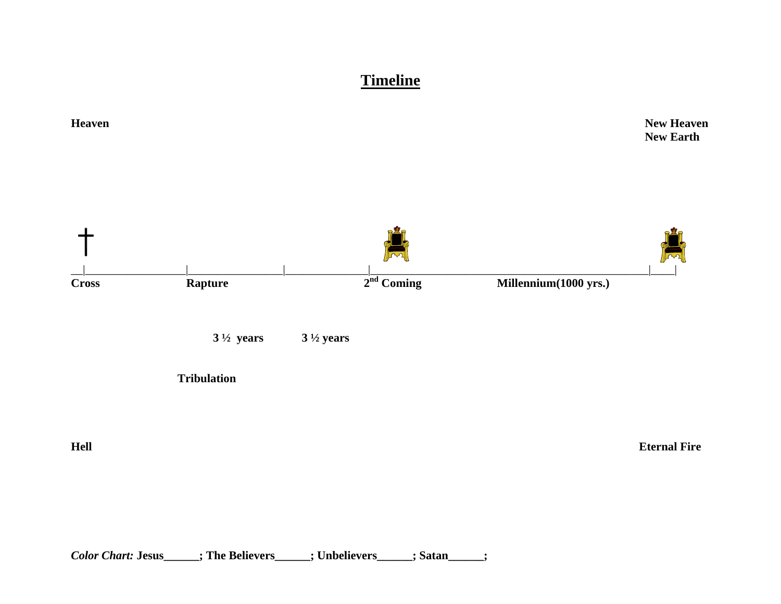**Timeline**



*Color Chart:* **Jesus\_\_\_\_\_\_; The Believers\_\_\_\_\_\_; Unbelievers\_\_\_\_\_\_; Satan\_\_\_\_\_\_;**